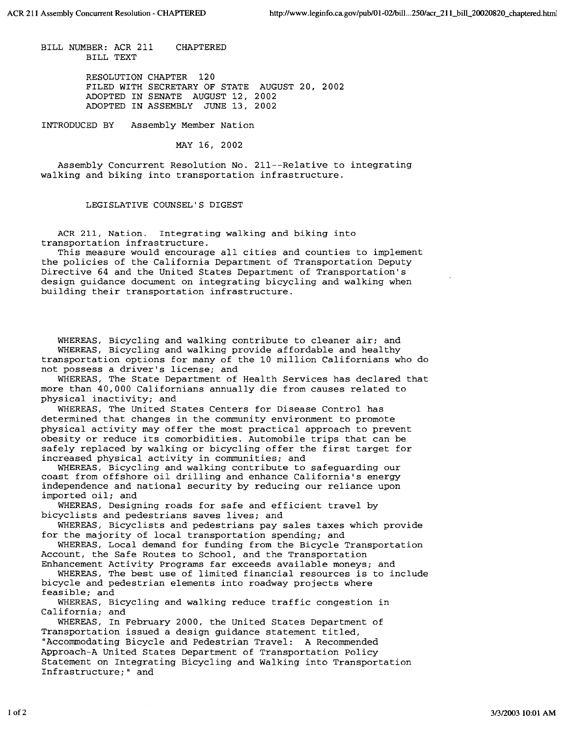BILL NUMBER: ACR 211 BILL TEXT CHAPTERED

> RESOLUTION CHAPTER 120 FILED WITH SECRETARY OF STATE AUGUST 20, 2002 ADOPTED IN SENATE AUGUST 12, 2002 ADOPTED IN ASSEMBLY JUNE 13, 2002

INTRODUCED BY Assembly Member Nation

MAY 16, 2002

Assembly Concurrent Resolution No. 211--Relative to integrating walking and biking into transportation infrastructure.

## LEGISLATIVE COUNSEL'S DIGEST

ACR 211, Nation. Integrating walking and biking into transportation infrastructure.

This measure would encourage all cities and counties to implement the policies of the California Department of Transportation Deputy Directive 64 and the United States Department of Transportation's design guidance document on integrating bicycling and walking when building their transportation infrastructure.

WHEREAS, Bicycling and walking contribute to cleaner air; and WHEREAS, Bicycling and walking provide affordable and healthy transportation options for many of the 10 million Californians who do not possess a driver's license; and

WHEREAS, The State Department of Health Services has declared that more than 40,000 Californians annually die from causes related to physical inactivity; and

WHEREAS, The United States Centers for Disease Control has determined that changes in the community environment to promote physical activity may offer the most practical approach to prevent obesity or reduce its comorbidities. Automobile trips that can be safely replaced by walking or bicycling offer the first target for increased physical activity in communities; and

WHEREAS, Bicycling and walking contribute to safeguarding our coast from offshore oil drilling and enhance California's energy independence and national security by reducing our reliance upon imported oil; and

WHEREAS, Designing roads for safe and efficient travel by bicyclists and pedestrians saves lives; and

WHEREAS, Bicyclists and pedestrians pay sales taxes which provide for the majority of local transportation spending; and

WHEREAS, Local demand for funding from the Bicycle Transportation Account, the Safe Routes to School, and the Transportation

Enhancement Activity Programs far exceeds available moneys; and WHEREAS, The best use of limited financial resources is to include bicycle and pedestrian elements into roadway projects where feasible; and

WHEREAS, Bicycling and walking reduce traffic congestion in California; and

WHEREAS, In February 2000, the United States Department of Transportation issued a design guidance statement titled, "Accommodating Bicycle and Pedestrian Travel: A Recommended Approach-A United States Department of Transportation Policy Statement on Integrating Bicycling and Walking into Transportation Infrastructure;" and